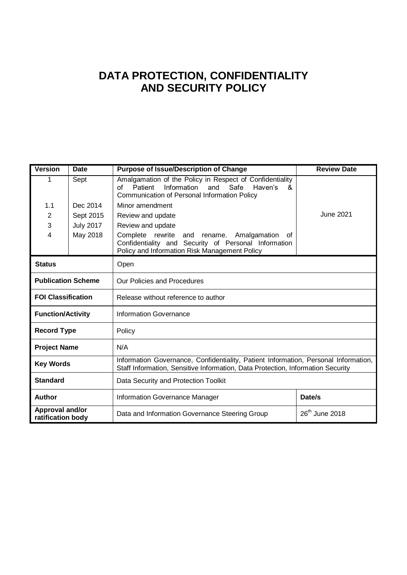# **DATA PROTECTION, CONFIDENTIALITY AND SECURITY POLICY**

| <b>Version</b><br><b>Date</b>        |                  | <b>Purpose of Issue/Description of Change</b>                                                                                                                           | <b>Review Date</b> |  |  |  |  |
|--------------------------------------|------------------|-------------------------------------------------------------------------------------------------------------------------------------------------------------------------|--------------------|--|--|--|--|
| Sept<br>1                            |                  | Amalgamation of the Policy in Respect of Confidentiality<br>Information<br>Patient<br>and<br>Safe<br>Haven's<br>οf<br>&<br>Communication of Personal Information Policy |                    |  |  |  |  |
| 1.1                                  | Dec 2014         | Minor amendment                                                                                                                                                         |                    |  |  |  |  |
| 2                                    | Sept 2015        | <b>June 2021</b><br>Review and update                                                                                                                                   |                    |  |  |  |  |
| 3                                    | <b>July 2017</b> | Review and update                                                                                                                                                       |                    |  |  |  |  |
| 4                                    | May 2018         | Complete rewrite<br>and<br>rename.<br>Amalgamation<br>0f<br>Confidentiality and Security of Personal Information<br>Policy and Information Risk Management Policy       |                    |  |  |  |  |
| <b>Status</b>                        |                  | Open                                                                                                                                                                    |                    |  |  |  |  |
| <b>Publication Scheme</b>            |                  | Our Policies and Procedures                                                                                                                                             |                    |  |  |  |  |
| <b>FOI Classification</b>            |                  | Release without reference to author                                                                                                                                     |                    |  |  |  |  |
| <b>Function/Activity</b>             |                  | <b>Information Governance</b>                                                                                                                                           |                    |  |  |  |  |
| <b>Record Type</b>                   |                  | Policy                                                                                                                                                                  |                    |  |  |  |  |
| <b>Project Name</b>                  |                  | N/A                                                                                                                                                                     |                    |  |  |  |  |
| <b>Key Words</b>                     |                  | Information Governance, Confidentiality, Patient Information, Personal Information,<br>Staff Information, Sensitive Information, Data Protection, Information Security  |                    |  |  |  |  |
| <b>Standard</b>                      |                  | Data Security and Protection Toolkit                                                                                                                                    |                    |  |  |  |  |
| <b>Author</b>                        |                  | Information Governance Manager                                                                                                                                          | Date/s             |  |  |  |  |
| Approval and/or<br>ratification body |                  | 26 <sup>th</sup> June 2018<br>Data and Information Governance Steering Group                                                                                            |                    |  |  |  |  |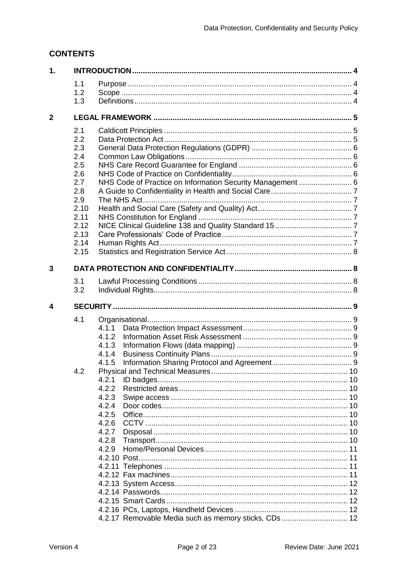## **CONTENTS**

| 1.           |              |                                                            |    |  |  |
|--------------|--------------|------------------------------------------------------------|----|--|--|
|              | 1.1          |                                                            |    |  |  |
|              | 1.2          |                                                            |    |  |  |
|              | 1.3          |                                                            |    |  |  |
| $\mathbf{2}$ |              |                                                            |    |  |  |
|              | 2.1          |                                                            |    |  |  |
|              | 2.2          |                                                            |    |  |  |
|              | 2.3          |                                                            |    |  |  |
|              | 2.4          |                                                            |    |  |  |
|              | 2.5          |                                                            |    |  |  |
|              | 2.6          |                                                            |    |  |  |
|              | 2.7          | NHS Code of Practice on Information Security Management  6 |    |  |  |
|              | 2.8          |                                                            |    |  |  |
|              | 2.9          |                                                            |    |  |  |
|              | 2.10         |                                                            |    |  |  |
|              | 2.11         |                                                            |    |  |  |
|              | 2.12<br>2.13 |                                                            |    |  |  |
|              | 2.14         |                                                            |    |  |  |
|              | 2.15         |                                                            |    |  |  |
|              |              |                                                            |    |  |  |
| 3            |              |                                                            |    |  |  |
|              | 3.1          |                                                            |    |  |  |
|              | 3.2          |                                                            |    |  |  |
|              |              |                                                            |    |  |  |
| 4            |              |                                                            |    |  |  |
|              |              |                                                            |    |  |  |
|              | 4.1          |                                                            |    |  |  |
|              |              | 4.1.1                                                      |    |  |  |
|              |              | 4.1.2                                                      |    |  |  |
|              |              | 4.1.3<br>4.1.4                                             |    |  |  |
|              |              | 4.1.5                                                      |    |  |  |
|              | 4.2          |                                                            |    |  |  |
|              |              | 4.2.1                                                      | 10 |  |  |
|              |              | 4.2.2                                                      |    |  |  |
|              |              | 4.2.3                                                      |    |  |  |
|              |              | 4.2.4                                                      |    |  |  |
|              |              | 4.2.5                                                      |    |  |  |
|              |              | 4.2.6                                                      |    |  |  |
|              |              | 4.2.7                                                      |    |  |  |
|              |              | 4.2.8                                                      |    |  |  |
|              |              | 4.2.9                                                      |    |  |  |
|              |              |                                                            | 11 |  |  |
|              |              |                                                            |    |  |  |
|              |              |                                                            |    |  |  |
|              |              |                                                            |    |  |  |
|              |              |                                                            |    |  |  |
|              |              |                                                            |    |  |  |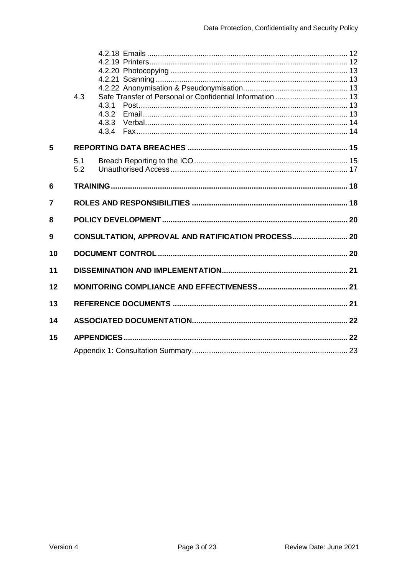|                | 4.3 | Safe Transfer of Personal or Confidential Information  13 |  |  |  |  |
|----------------|-----|-----------------------------------------------------------|--|--|--|--|
|                |     | 4.3.1                                                     |  |  |  |  |
|                |     | 4.3.2                                                     |  |  |  |  |
|                |     | 4.3.3                                                     |  |  |  |  |
|                |     |                                                           |  |  |  |  |
| 5              |     |                                                           |  |  |  |  |
|                | 5.1 |                                                           |  |  |  |  |
|                | 5.2 |                                                           |  |  |  |  |
|                |     |                                                           |  |  |  |  |
| 6              |     |                                                           |  |  |  |  |
| $\overline{7}$ |     |                                                           |  |  |  |  |
| 8              |     |                                                           |  |  |  |  |
| 9              |     | CONSULTATION, APPROVAL AND RATIFICATION PROCESS 20        |  |  |  |  |
| 10             |     |                                                           |  |  |  |  |
|                |     |                                                           |  |  |  |  |
| 11             |     |                                                           |  |  |  |  |
| 12             |     |                                                           |  |  |  |  |
| 13             |     |                                                           |  |  |  |  |
| 14             |     |                                                           |  |  |  |  |
|                |     |                                                           |  |  |  |  |
| 15             |     |                                                           |  |  |  |  |
|                |     |                                                           |  |  |  |  |
|                |     |                                                           |  |  |  |  |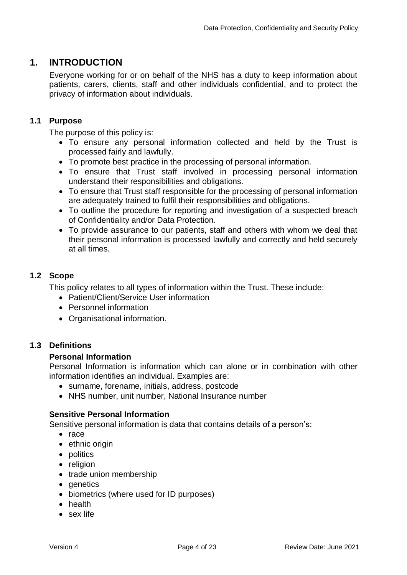## <span id="page-3-0"></span>**1. INTRODUCTION**

Everyone working for or on behalf of the NHS has a duty to keep information about patients, carers, clients, staff and other individuals confidential, and to protect the privacy of information about individuals.

## <span id="page-3-1"></span>**1.1 Purpose**

The purpose of this policy is:

- To ensure any personal information collected and held by the Trust is processed fairly and lawfully.
- To promote best practice in the processing of personal information.
- To ensure that Trust staff involved in processing personal information understand their responsibilities and obligations.
- To ensure that Trust staff responsible for the processing of personal information are adequately trained to fulfil their responsibilities and obligations.
- To outline the procedure for reporting and investigation of a suspected breach of Confidentiality and/or Data Protection.
- To provide assurance to our patients, staff and others with whom we deal that their personal information is processed lawfully and correctly and held securely at all times.

## <span id="page-3-2"></span>**1.2 Scope**

This policy relates to all types of information within the Trust. These include:

- Patient/Client/Service User information
- Personnel information
- Organisational information.

## <span id="page-3-3"></span>**1.3 Definitions**

#### **Personal Information**

Personal Information is information which can alone or in combination with other information identifies an individual. Examples are:

- surname, forename, initials, address, postcode
- NHS number, unit number, National Insurance number

#### **Sensitive Personal Information**

Sensitive personal information is data that contains details of a person's:

- $\bullet$  race
- ethnic origin
- politics
- religion
- trade union membership
- genetics
- biometrics (where used for ID purposes)
- health
- sex life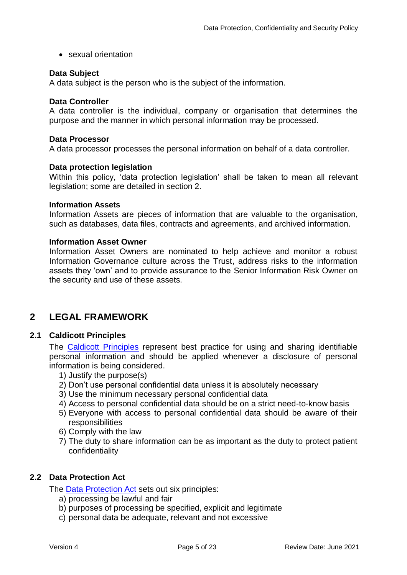• sexual orientation

#### **Data Subject**

A data subject is the person who is the subject of the information.

#### **Data Controller**

A data controller is the individual, company or organisation that determines the purpose and the manner in which personal information may be processed.

#### **Data Processor**

A data processor processes the personal information on behalf of a data controller.

#### **Data protection legislation**

Within this policy, 'data protection legislation' shall be taken to mean all relevant legislation; some are detailed in section 2.

#### **Information Assets**

Information Assets are pieces of information that are valuable to the organisation, such as databases, data files, contracts and agreements, and archived information.

#### **Information Asset Owner**

Information Asset Owners are nominated to help achieve and monitor a robust Information Governance culture across the Trust, address risks to the information assets they 'own' and to provide assurance to the Senior Information Risk Owner on the security and use of these assets.

## <span id="page-4-0"></span>**2 LEGAL FRAMEWORK**

#### **2.1 Caldicott Principles**

<span id="page-4-1"></span>The [Caldicott Principles](https://www.gov.uk/government/uploads/system/uploads/attachment_data/file/251750/9731-2901141-TSO-Caldicott-Government_Response_ACCESSIBLE.PDF) represent best practice for using and sharing identifiable personal information and should be applied whenever a disclosure of personal information is being considered.

- 1) Justify the purpose(s)
- 2) Don't use personal confidential data unless it is absolutely necessary
- 3) Use the minimum necessary personal confidential data
- 4) Access to personal confidential data should be on a strict need-to-know basis
- 5) Everyone with access to personal confidential data should be aware of their responsibilities
- 6) Comply with the law
- 7) The duty to share information can be as important as the duty to protect patient confidentiality

## <span id="page-4-2"></span>**2.2 Data Protection Act**

The [Data Protection Act](http://www.legislation.gov.uk/ukpga/2018/12/contents/enacted/data.htm) sets out six principles:

- a) processing be lawful and fair
- b) purposes of processing be specified, explicit and legitimate
- c) personal data be adequate, relevant and not excessive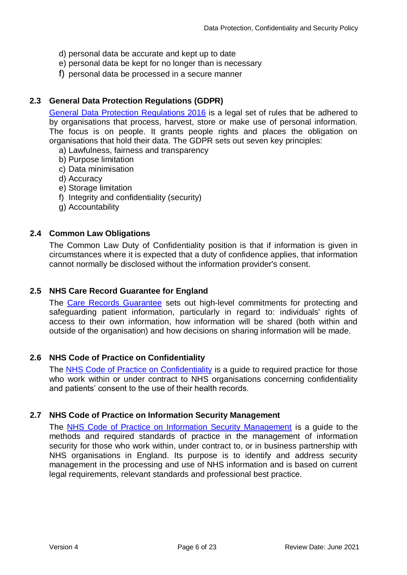- d) personal data be accurate and kept up to date
- e) personal data be kept for no longer than is necessary
- f) personal data be processed in a secure manner

## **2.3 General Data Protection Regulations (GDPR)**

<span id="page-5-0"></span>[General Data Protection Regulations 2016](https://gdpr-info.eu/) is a legal set of rules that be adhered to by organisations that process, harvest, store or make use of personal information. The focus is on people. It grants people rights and places the obligation on organisations that hold their data. The GDPR sets out seven key principles:

- a) Lawfulness, fairness and transparency
- b) Purpose limitation
- c) Data minimisation
- d) Accuracy
- e) Storage limitation
- f) Integrity and confidentiality (security)
- g) Accountability

## <span id="page-5-1"></span>**2.4 Common Law Obligations**

The Common Law Duty of Confidentiality position is that if information is given in circumstances where it is expected that a duty of confidence applies, that information cannot normally be disclosed without the information provider's consent.

## <span id="page-5-2"></span>**2.5 NHS Care Record Guarantee for England**

The [Care Records Guarantee](http://systems.hscic.gov.uk/rasmartcards/documents/crg.pdf) sets out high-level commitments for protecting and safeguarding patient information, particularly in regard to: individuals' rights of access to their own information, how information will be shared (both within and outside of the organisation) and how decisions on sharing information will be made.

## <span id="page-5-3"></span>**2.6 NHS Code of Practice on Confidentiality**

The [NHS Code of Practice on Confidentiality](http://systems.hscic.gov.uk/infogov/codes/confcode.pdf) is a guide to required practice for those who work within or under contract to NHS organisations concerning confidentiality and patients' consent to the use of their health records.

## <span id="page-5-4"></span>**2.7 NHS Code of Practice on Information Security Management**

The [NHS Code of Practice on Information Security Management](http://systems.hscic.gov.uk/infogov/codes/securitycode.pdf) is a guide to the methods and required standards of practice in the management of information security for those who work within, under contract to, or in business partnership with NHS organisations in England. Its purpose is to identify and address security management in the processing and use of NHS information and is based on current legal requirements, relevant standards and professional best practice.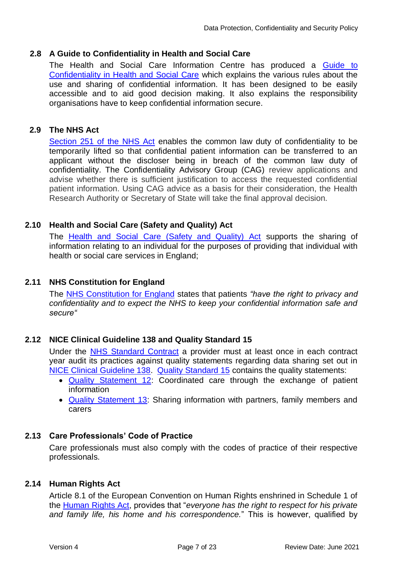## **2.8 A Guide to Confidentiality in Health and Social Care**

<span id="page-6-0"></span>The Health and Social Care Information Centre has produced a Guide to [Confidentiality in Health and Social Care](http://www.hscic.gov.uk/media/12822/Guide-to-confidentiality-in-health-and-social-care/pdf/HSCIC-guide-to-confidentiality.pdf) which explains the various rules about the use and sharing of confidential information. It has been designed to be easily accessible and to aid good decision making. It also explains the responsibility organisations have to keep confidential information secure.

### **2.9 The NHS Act**

<span id="page-6-1"></span>[Section 251 of the NHS Act](http://www.legislation.gov.uk/ukpga/2006/41/section/251) enables the common law duty of confidentiality to be temporarily lifted so that confidential patient information can be transferred to an applicant without the discloser being in breach of the common law duty of confidentiality. The Confidentiality Advisory Group (CAG) review applications and advise whether there is sufficient justification to access the requested confidential patient information. Using CAG advice as a basis for their consideration, the Health Research Authority or Secretary of State will take the final approval decision.

#### **2.10 Health and Social Care (Safety and Quality) Act**

<span id="page-6-2"></span>The [Health and Social Care \(Safety and Quality\) Act](http://www.legislation.gov.uk/ukpga/2015/28/pdfs/ukpga_20150028_en.pdf) supports the sharing of information relating to an individual for the purposes of providing that individual with health or social care services in England;

#### **2.11 NHS Constitution for England**

<span id="page-6-3"></span>The [NHS Constitution for England](https://www.gov.uk/government/uploads/system/uploads/attachment_data/file/170656/NHS_Constitution.pdf) states that patients *"have the right to privacy and confidentiality and to expect the NHS to keep your confidential information safe and secure"*

## **2.12 NICE Clinical Guideline 138 and Quality Standard 15**

<span id="page-6-4"></span>Under the [NHS Standard Contract](http://www.england.nhs.uk/nhs-standard-contract/15-16/) a provider must at least once in each contract year audit its practices against quality statements regarding data sharing set out in [NICE Clinical Guideline 138.](http://www.nice.org.uk/guidance/cg138) [Quality Standard 15](http://www.nice.org.uk/guidance/qs15) contains the quality statements:

- [Quality Statement 12:](http://www.nice.org.uk/guidance/qs15/chapter/Quality-statement-12-Coordinated-care-through-the-exchange-of-patient-information) Coordinated care through the exchange of patient information
- [Quality Statement 13:](http://www.nice.org.uk/guidance/qs15/chapter/Quality-statement-13-Sharing-information-with-partners-family-members-and-carers) Sharing information with partners, family members and carers

## **2.13 Care Professionals' Code of Practice**

<span id="page-6-5"></span>Care professionals must also comply with the codes of practice of their respective professionals.

#### **2.14 Human Rights Act**

<span id="page-6-6"></span>Article 8.1 of the European Convention on Human Rights enshrined in Schedule 1 of the [Human Rights Act,](http://www.legislation.gov.uk/ukpga/1998/42/contents) provides that "*everyone has the right to respect for his private and family life, his home and his correspondence.*" This is however, qualified by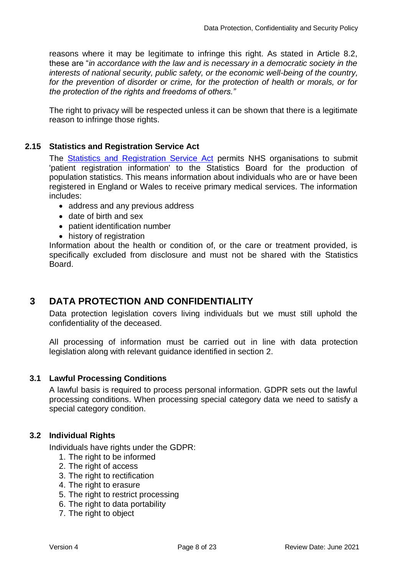reasons where it may be legitimate to infringe this right. As stated in Article 8.2, these are "*in accordance with the law and is necessary in a democratic society in the interests of national security, public safety, or the economic well-being of the country, for the prevention of disorder or crime, for the protection of health or morals, or for the protection of the rights and freedoms of others."*

The right to privacy will be respected unless it can be shown that there is a legitimate reason to infringe those rights.

## **2.15 Statistics and Registration Service Act**

<span id="page-7-0"></span>The [Statistics and Registration Service Act](http://www.legislation.gov.uk/ukpga/2007/18/contents) permits NHS organisations to submit 'patient registration information' to the Statistics Board for the production of population statistics. This means information about individuals who are or have been registered in England or Wales to receive primary medical services. The information includes:

- address and any previous address
- date of birth and sex
- patient identification number
- history of registration

Information about the health or condition of, or the care or treatment provided, is specifically excluded from disclosure and must not be shared with the Statistics Board.

## <span id="page-7-1"></span>**3 DATA PROTECTION AND CONFIDENTIALITY**

Data protection legislation covers living individuals but we must still uphold the confidentiality of the deceased.

All processing of information must be carried out in line with data protection legislation along with relevant guidance identified in section 2.

## <span id="page-7-2"></span>**3.1 Lawful Processing Conditions**

A lawful basis is required to process personal information. GDPR sets out the lawful processing conditions. When processing special category data we need to satisfy a special category condition.

## <span id="page-7-3"></span>**3.2 Individual Rights**

Individuals have rights under the GDPR:

- 1. The right to be informed
- 2. The right of access
- 3. The right to rectification
- 4. The right to erasure
- 5. The right to restrict processing
- 6. The right to data portability
- 7. The right to object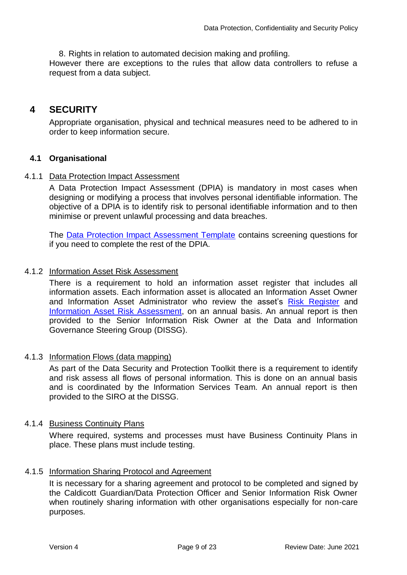8. Rights in relation to automated decision making and profiling.

However there are exceptions to the rules that allow data controllers to refuse a request from a data subject.

## <span id="page-8-0"></span>**4 SECURITY**

Appropriate organisation, physical and technical measures need to be adhered to in order to keep information secure.

## <span id="page-8-1"></span>**4.1 Organisational**

## 4.1.1 Data Protection Impact Assessment

<span id="page-8-2"></span>A Data Protection Impact Assessment (DPIA) is mandatory in most cases when designing or modifying a process that involves personal identifiable information. The objective of a DPIA is to identify risk to personal identifiable information and to then minimise or prevent unlawful processing and data breaches.

The [Data Protection Impact Assessment Template](http://nww.hdft.nhs.uk/EasysiteWeb/getresource.axd?AssetID=86759&type=full&servicetype=Attachment) contains screening questions for if you need to complete the rest of the DPIA.

## 4.1.2 Information Asset Risk Assessment

<span id="page-8-3"></span>There is a requirement to hold an information asset register that includes all information assets. Each information asset is allocated an Information Asset Owner and Information Asset Administrator who review the asset's [Risk Register](http://nww.hdft.nhs.uk/EasysiteWeb/getresource.axd?AssetID=7243&type=full&servicetype=Attachment) and [Information Asset Risk Assessment,](http://nww.hdft.nhs.uk/EasysiteWeb/getresource.axd?AssetID=70156&type=full&servicetype=Attachment) on an annual basis. An annual report is then provided to the Senior Information Risk Owner at the Data and Information Governance Steering Group (DISSG).

## 4.1.3 Information Flows (data mapping)

<span id="page-8-4"></span>As part of the Data Security and Protection Toolkit there is a requirement to identify and risk assess all flows of personal information. This is done on an annual basis and is coordinated by the Information Services Team. An annual report is then provided to the SIRO at the DISSG.

#### 4.1.4 Business Continuity Plans

<span id="page-8-5"></span>Where required, systems and processes must have Business Continuity Plans in place. These plans must include testing.

## 4.1.5 Information Sharing Protocol and Agreement

<span id="page-8-6"></span>It is necessary for a sharing agreement and protocol to be completed and signed by the Caldicott Guardian/Data Protection Officer and Senior Information Risk Owner when routinely sharing information with other organisations especially for non-care purposes.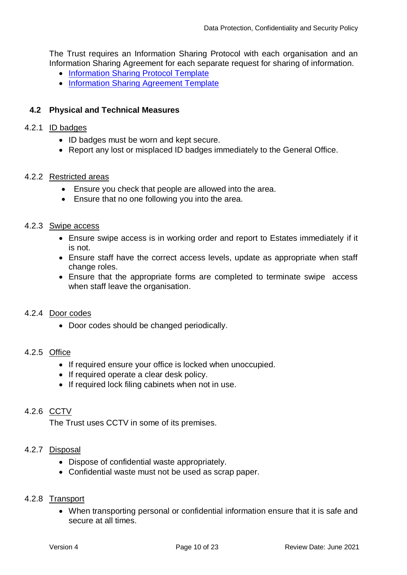The Trust requires an Information Sharing Protocol with each organisation and an Information Sharing Agreement for each separate request for sharing of information.

- [Information Sharing Protocol Template](http://nww.hdft.nhs.uk/EasysiteWeb/getresource.axd?AssetID=26378&type=full&servicetype=Attachment)
- [Information Sharing Agreement Template](http://nww.hdft.nhs.uk/EasysiteWeb/getresource.axd?AssetID=26377&type=full&servicetype=Attachment)

## <span id="page-9-0"></span>**4.2 Physical and Technical Measures**

#### 4.2.1 ID badges

- <span id="page-9-1"></span>• ID badges must be worn and kept secure.
- <span id="page-9-2"></span>• Report any lost or misplaced ID badges immediately to the General Office.

#### 4.2.2 Restricted areas

- Ensure you check that people are allowed into the area.
- Ensure that no one following you into the area.

#### 4.2.3 Swipe access

- <span id="page-9-3"></span> Ensure swipe access is in working order and report to Estates immediately if it is not.
- Ensure staff have the correct access levels, update as appropriate when staff change roles.
- Ensure that the appropriate forms are completed to terminate swipe access when staff leave the organisation.

#### 4.2.4 Door codes

<span id="page-9-5"></span><span id="page-9-4"></span>• Door codes should be changed periodically.

#### 4.2.5 Office

- If required ensure your office is locked when unoccupied.
- If required operate a clear desk policy.
- If required lock filing cabinets when not in use.

## 4.2.6 CCTV

<span id="page-9-7"></span><span id="page-9-6"></span>The Trust uses CCTV in some of its premises.

#### 4.2.7 Disposal

- Dispose of confidential waste appropriately.
- <span id="page-9-8"></span>Confidential waste must not be used as scrap paper.

#### 4.2.8 Transport

 When transporting personal or confidential information ensure that it is safe and secure at all times.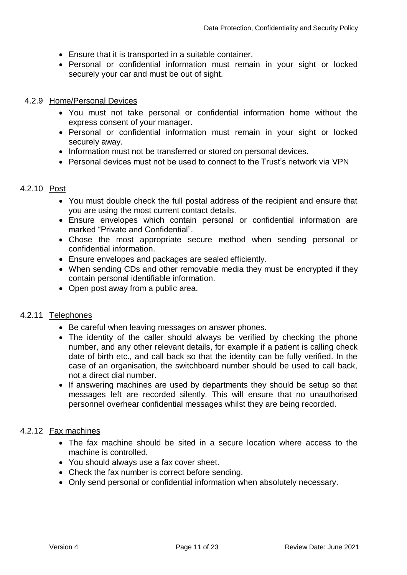- Ensure that it is transported in a suitable container.
- Personal or confidential information must remain in your sight or locked securely your car and must be out of sight.

### 4.2.9 Home/Personal Devices

- <span id="page-10-0"></span> You must not take personal or confidential information home without the express consent of your manager.
- Personal or confidential information must remain in your sight or locked securely away.
- Information must not be transferred or stored on personal devices.
- <span id="page-10-1"></span>Personal devices must not be used to connect to the Trust's network via VPN

#### 4.2.10 Post

- You must double check the full postal address of the recipient and ensure that you are using the most current contact details.
- Ensure envelopes which contain personal or confidential information are marked "Private and Confidential".
- Chose the most appropriate secure method when sending personal or confidential information.
- Ensure envelopes and packages are sealed efficiently.
- When sending CDs and other removable media they must be encrypted if they contain personal identifiable information.
- <span id="page-10-2"></span>• Open post away from a public area.

#### 4.2.11 Telephones

- Be careful when leaving messages on answer phones.
- The identity of the caller should always be verified by checking the phone number, and any other relevant details, for example if a patient is calling check date of birth etc., and call back so that the identity can be fully verified. In the case of an organisation, the switchboard number should be used to call back, not a direct dial number.
- If answering machines are used by departments they should be setup so that messages left are recorded silently. This will ensure that no unauthorised personnel overhear confidential messages whilst they are being recorded.

#### 4.2.12 Fax machines

- <span id="page-10-3"></span> The fax machine should be sited in a secure location where access to the machine is controlled.
- You should always use a fax cover sheet.
- Check the fax number is correct before sending.
- Only send personal or confidential information when absolutely necessary.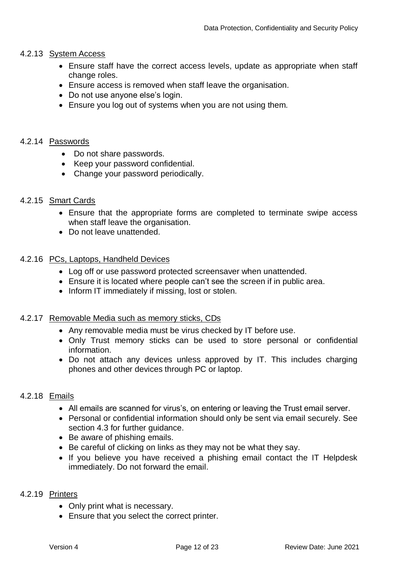#### 4.2.13 System Access

- <span id="page-11-0"></span> Ensure staff have the correct access levels, update as appropriate when staff change roles.
- Ensure access is removed when staff leave the organisation.
- Do not use anyone else's login.
- Ensure you log out of systems when you are not using them.

#### 4.2.14 Passwords

- <span id="page-11-1"></span>• Do not share passwords.
- Keep your password confidential.
- Change your password periodically.

#### 4.2.15 Smart Cards

- <span id="page-11-2"></span> Ensure that the appropriate forms are completed to terminate swipe access when staff leave the organisation.
- <span id="page-11-3"></span>• Do not leave unattended.

#### 4.2.16 PCs, Laptops, Handheld Devices

- Log off or use password protected screensaver when unattended.
- Ensure it is located where people can't see the screen if in public area.
- <span id="page-11-4"></span>• Inform IT immediately if missing, lost or stolen.

#### 4.2.17 Removable Media such as memory sticks, CDs

- Any removable media must be virus checked by IT before use.
- Only Trust memory sticks can be used to store personal or confidential information.
- Do not attach any devices unless approved by IT. This includes charging phones and other devices through PC or laptop.

#### 4.2.18 Emails

- <span id="page-11-5"></span>All emails are scanned for virus's, on entering or leaving the Trust email server.
- Personal or confidential information should only be sent via email securely. See section 4.3 for further guidance.
- Be aware of phishing emails.
- Be careful of clicking on links as they may not be what they say.
- If you believe you have received a phishing email contact the IT Helpdesk immediately. Do not forward the email.

### 4.2.19 Printers

- <span id="page-11-6"></span>• Only print what is necessary.
- Ensure that you select the correct printer.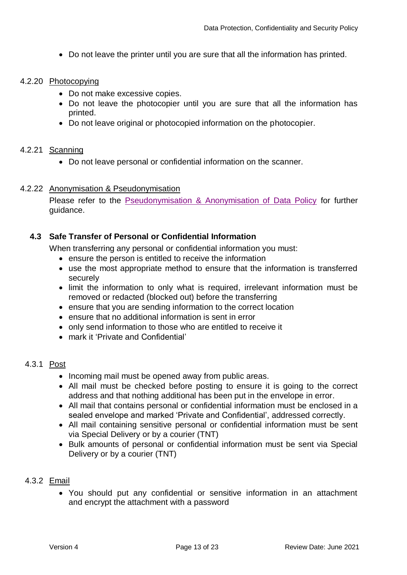<span id="page-12-0"></span>Do not leave the printer until you are sure that all the information has printed.

#### 4.2.20 Photocopying

- Do not make excessive copies.
- Do not leave the photocopier until you are sure that all the information has printed.
- <span id="page-12-1"></span>Do not leave original or photocopied information on the photocopier.

#### 4.2.21 Scanning

Do not leave personal or confidential information on the scanner.

#### 4.2.22 Anonymisation & Pseudonymisation

<span id="page-12-2"></span>Please refer to the [Pseudonymisation & Anonymisation of Data Policy](http://nww.hdft.nhs.uk/EasysiteWeb/getresource.axd?AssetID=38095&type=full&servicetype=Attachment) for further guidance.

## <span id="page-12-3"></span>**4.3 Safe Transfer of Personal or Confidential Information**

When transferring any personal or confidential information you must:

- ensure the person is entitled to receive the information
- use the most appropriate method to ensure that the information is transferred securely
- limit the information to only what is required, irrelevant information must be removed or redacted (blocked out) before the transferring
- ensure that you are sending information to the correct location
- ensure that no additional information is sent in error
- only send information to those who are entitled to receive it
- <span id="page-12-4"></span>mark it 'Private and Confidential'

## 4.3.1 Post

- Incoming mail must be opened away from public areas.
- All mail must be checked before posting to ensure it is going to the correct address and that nothing additional has been put in the envelope in error.
- All mail that contains personal or confidential information must be enclosed in a sealed envelope and marked 'Private and Confidential', addressed correctly.
- All mail containing sensitive personal or confidential information must be sent via Special Delivery or by a courier (TNT)
- Bulk amounts of personal or confidential information must be sent via Special Delivery or by a courier (TNT)

#### 4.3.2 Email

<span id="page-12-5"></span> You should put any confidential or sensitive information in an attachment and encrypt the attachment with a password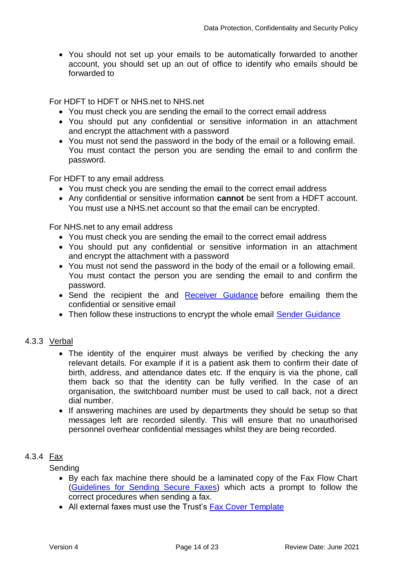You should not set up your emails to be automatically forwarded to another account, you should set up an out of office to identify who emails should be forwarded to

For HDFT to HDFT or NHS.net to NHS.net

- You must check you are sending the email to the correct email address
- You should put any confidential or sensitive information in an attachment and encrypt the attachment with a password
- You must not send the password in the body of the email or a following email. You must contact the person you are sending the email to and confirm the password.

For HDFT to any email address

- You must check you are sending the email to the correct email address
- Any confidential or sensitive information **cannot** be sent from a HDFT account. You must use a NHS.net account so that the email can be encrypted.

For NHS.net to any email address

- You must check you are sending the email to the correct email address
- You should put any confidential or sensitive information in an attachment and encrypt the attachment with a password
- You must not send the password in the body of the email or a following email. You must contact the person you are sending the email to and confirm the password.
- Send the recipient the and [Receiver Guidance](https://s3-eu-west-1.amazonaws.com/comms-mat/Comms-Archive/Accessing+Encrypted+Emails+Guide.pdf) before emailing them the confidential or sensitive email
- <span id="page-13-0"></span>• Then follow these instructions to encrypt the whole email **Sender Guidance**

## 4.3.3 Verbal

- The identity of the enquirer must always be verified by checking the any relevant details. For example if it is a patient ask them to confirm their date of birth, address, and attendance dates etc. If the enquiry is via the phone, call them back so that the identity can be fully verified. In the case of an organisation, the switchboard number must be used to call back, not a direct dial number.
- If answering machines are used by departments they should be setup so that messages left are recorded silently. This will ensure that no unauthorised personnel overhear confidential messages whilst they are being recorded.

#### 4.3.4 Fax

<span id="page-13-1"></span>**Sending** 

- By each fax machine there should be a laminated copy of the Fax Flow Chart [\(Guidelines for Sending Secure Faxes\)](http://nww.hdft.nhs.uk/EasysiteWeb/getresource.axd?AssetID=88450&type=full&servicetype=Attachment) which acts a prompt to follow the correct procedures when sending a fax.
- All external faxes must use the Trust's [Fax Cover Template](http://nww.hdft.nhs.uk/EasysiteWeb/getresource.axd?AssetID=40978&type=full&servicetype=Attachment)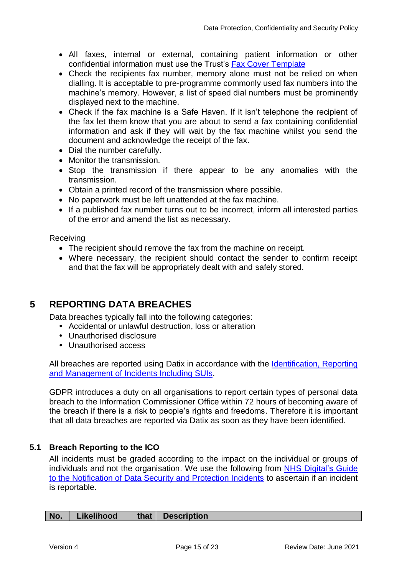- All faxes, internal or external, containing patient information or other confidential information must use the Trust's [Fax Cover Template](http://nww.hdft.nhs.uk/EasysiteWeb/getresource.axd?AssetID=40978&type=full&servicetype=Attachment)
- Check the recipients fax number, memory alone must not be relied on when dialling. It is acceptable to pre-programme commonly used fax numbers into the machine's memory. However, a list of speed dial numbers must be prominently displayed next to the machine.
- Check if the fax machine is a Safe Haven. If it isn't telephone the recipient of the fax let them know that you are about to send a fax containing confidential information and ask if they will wait by the fax machine whilst you send the document and acknowledge the receipt of the fax.
- Dial the number carefully.
- Monitor the transmission.
- Stop the transmission if there appear to be any anomalies with the transmission.
- Obtain a printed record of the transmission where possible.
- No paperwork must be left unattended at the fax machine.
- If a published fax number turns out to be incorrect, inform all interested parties of the error and amend the list as necessary.

Receiving

- The recipient should remove the fax from the machine on receipt.
- Where necessary, the recipient should contact the sender to confirm receipt and that the fax will be appropriately dealt with and safely stored.

## <span id="page-14-0"></span>**5 REPORTING DATA BREACHES**

Data breaches typically fall into the following categories:

- Accidental or unlawful destruction, loss or alteration
- Unauthorised disclosure
- Unauthorised access

All breaches are reported using Datix in accordance with the Identification, Reporting [and Management of Incidents Including SUIs.](http://nww.hdft.nhs.uk/EasysiteWeb/getresource.axd?AssetID=6182&type=full&servicetype=Attachment)

GDPR introduces a duty on all organisations to report certain types of personal data breach to the Information Commissioner Office within 72 hours of becoming aware of the breach if there is a risk to people's rights and freedoms. Therefore it is important that all data breaches are reported via Datix as soon as they have been identified.

## <span id="page-14-1"></span>**5.1 Breach Reporting to the ICO**

All incidents must be graded according to the impact on the individual or groups of individuals and not the organisation. We use the following from [NHS Digital's](https://www.dsptoolkit.nhs.uk/Help/Attachment/101) Guide [to the Notification of Data Security and Protection Incidents](https://www.dsptoolkit.nhs.uk/Help/Attachment/101) to ascertain if an incident is reportable.

| No. | Likelihood |  | that   Description |
|-----|------------|--|--------------------|
|-----|------------|--|--------------------|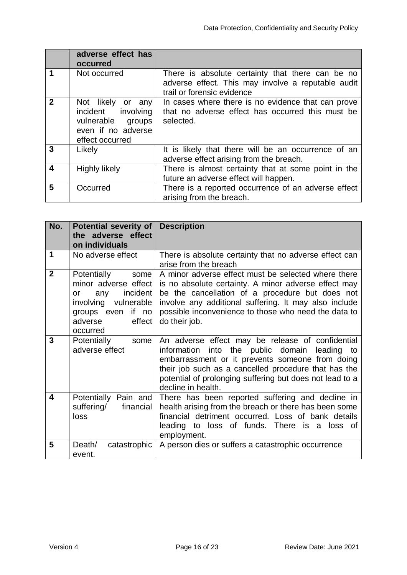|              | adverse effect has<br>occurred                                                                        |                                                                                                                                      |
|--------------|-------------------------------------------------------------------------------------------------------|--------------------------------------------------------------------------------------------------------------------------------------|
|              | Not occurred                                                                                          | There is absolute certainty that there can be no<br>adverse effect. This may involve a reputable audit<br>trail or forensic evidence |
| $\mathbf{2}$ | Not likely or any<br>incident involving<br>vulnerable groups<br>even if no adverse<br>effect occurred | In cases where there is no evidence that can prove<br>that no adverse effect has occurred this must be<br>selected.                  |
| 3            | Likely                                                                                                | It is likely that there will be an occurrence of an<br>adverse effect arising from the breach.                                       |
| 4            | Highly likely                                                                                         | There is almost certainty that at some point in the<br>future an adverse effect will happen.                                         |
| 5            | Occurred                                                                                              | There is a reported occurrence of an adverse effect<br>arising from the breach.                                                      |

| No.            | <b>Potential severity of</b><br>the adverse effect<br>on individuals                                                                               | <b>Description</b>                                                                                                                                                                                                                                                                               |
|----------------|----------------------------------------------------------------------------------------------------------------------------------------------------|--------------------------------------------------------------------------------------------------------------------------------------------------------------------------------------------------------------------------------------------------------------------------------------------------|
| 1              | No adverse effect                                                                                                                                  | There is absolute certainty that no adverse effect can<br>arise from the breach                                                                                                                                                                                                                  |
| $\overline{2}$ | Potentially<br>some<br>minor adverse effect<br>incident<br>any<br>or<br>involving vulnerable<br>groups even if no<br>adverse<br>effect<br>occurred | A minor adverse effect must be selected where there<br>is no absolute certainty. A minor adverse effect may<br>be the cancellation of a procedure but does not<br>involve any additional suffering. It may also include<br>possible inconvenience to those who need the data to<br>do their job. |
| 3              | Potentially<br>some<br>adverse effect                                                                                                              | An adverse effect may be release of confidential<br>information into the public domain leading to<br>embarrassment or it prevents someone from doing<br>their job such as a cancelled procedure that has the<br>potential of prolonging suffering but does not lead to a<br>decline in health.   |
| 4              | Potentially Pain and<br>suffering/<br>financial<br>loss                                                                                            | There has been reported suffering and decline in<br>health arising from the breach or there has been some<br>financial detriment occurred. Loss of bank details<br>leading to loss of funds. There is a loss<br>of<br>employment.                                                                |
| 5              | Death/<br>catastrophic<br>event.                                                                                                                   | A person dies or suffers a catastrophic occurrence                                                                                                                                                                                                                                               |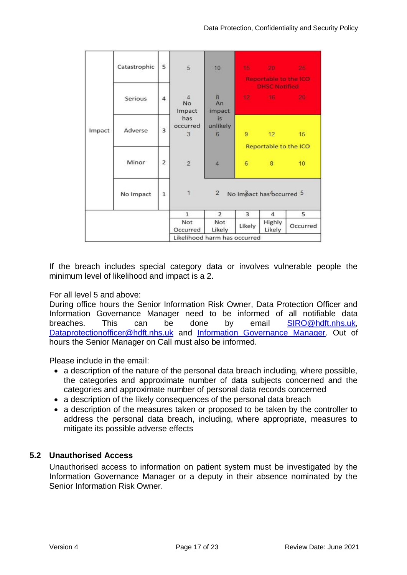| Impact | Catastrophic | 5 | 5                                     | 10                  |                          | 15 20 25<br><b>Reportable to the ICO</b><br><b>DHSC Notified</b> |                 |
|--------|--------------|---|---------------------------------------|---------------------|--------------------------|------------------------------------------------------------------|-----------------|
|        | Serious      | 4 | $\overline{4}$<br><b>No</b><br>Impact | 8<br>An<br>impact   |                          | 12 16 20                                                         |                 |
|        | Adverse      | 3 | has<br>occurred<br>3                  | is<br>unlikely<br>6 | $\overline{9}$           | $12 -$<br>Reportable to the ICO                                  | 15              |
|        | Minor        | 2 | $\overline{2}$                        | $\overline{4}$      | 6                        | $8^{\circ}$                                                      | 10 <sup>°</sup> |
|        | No Impact    |   | $\overline{2}$<br>1                   |                     | No Impact has bccurred 5 |                                                                  |                 |
|        |              |   | $\mathbf{1}$                          | $\overline{2}$      | 3                        | 4                                                                | 5               |
|        |              |   | Not<br>Occurred                       | Not<br>Likely       | Likely                   | Highly<br>Likely                                                 | Occurred        |
|        |              |   | Likelihood harm has occurred          |                     |                          |                                                                  |                 |

If the breach includes special category data or involves vulnerable people the minimum level of likelihood and impact is a 2.

For all level 5 and above:

During office hours the Senior Information Risk Owner, Data Protection Officer and Information Governance Manager need to be informed of all notifiable data breaches. This can be done by email **[SIRO@hdft.nhs.uk,](mailto:SIRO@hdft.nhs.uk)** [Dataprotectionofficer@hdft.nhs.uk](mailto:Dataprotectionofficer@hdft.nhs.uk) and [Information Governance Manager.](mailto:jo.higgins@hdft.nhs.uk) Out of hours the Senior Manager on Call must also be informed.

Please include in the email:

- a description of the nature of the personal data breach including, where possible, the categories and approximate number of data subjects concerned and the categories and approximate number of personal data records concerned
- a description of the likely consequences of the personal data breach
- a description of the measures taken or proposed to be taken by the controller to address the personal data breach, including, where appropriate, measures to mitigate its possible adverse effects

## <span id="page-16-0"></span>**5.2 Unauthorised Access**

Unauthorised access to information on patient system must be investigated by the Information Governance Manager or a deputy in their absence nominated by the Senior Information Risk Owner.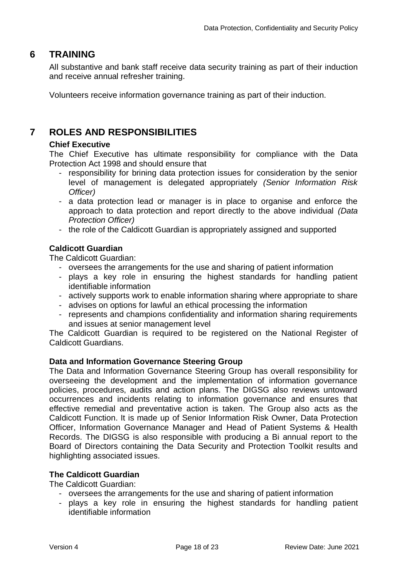## **6 TRAINING**

<span id="page-17-0"></span>All substantive and bank staff receive data security training as part of their induction and receive annual refresher training.

Volunteers receive information governance training as part of their induction.

## <span id="page-17-1"></span>**7 ROLES AND RESPONSIBILITIES**

## **Chief Executive**

The Chief Executive has ultimate responsibility for compliance with the Data Protection Act 1998 and should ensure that

- responsibility for brining data protection issues for consideration by the senior level of management is delegated appropriately *(Senior Information Risk Officer)*
- a data protection lead or manager is in place to organise and enforce the approach to data protection and report directly to the above individual *(Data Protection Officer)*
- the role of the Caldicott Guardian is appropriately assigned and supported

## **Caldicott Guardian**

The Caldicott Guardian:

- oversees the arrangements for the use and sharing of patient information
- plays a key role in ensuring the highest standards for handling patient identifiable information
- actively supports work to enable information sharing where appropriate to share
- advises on options for lawful an ethical processing the information
- represents and champions confidentiality and information sharing requirements and issues at senior management level

The Caldicott Guardian is required to be registered on the National Register of Caldicott Guardians.

## **Data and Information Governance Steering Group**

The Data and Information Governance Steering Group has overall responsibility for overseeing the development and the implementation of information governance policies, procedures, audits and action plans. The DIGSG also reviews untoward occurrences and incidents relating to information governance and ensures that effective remedial and preventative action is taken. The Group also acts as the Caldicott Function. It is made up of Senior Information Risk Owner, Data Protection Officer, Information Governance Manager and Head of Patient Systems & Health Records. The DIGSG is also responsible with producing a Bi annual report to the Board of Directors containing the Data Security and Protection Toolkit results and highlighting associated issues.

## **The Caldicott Guardian**

The Caldicott Guardian:

- oversees the arrangements for the use and sharing of patient information
- plays a key role in ensuring the highest standards for handling patient identifiable information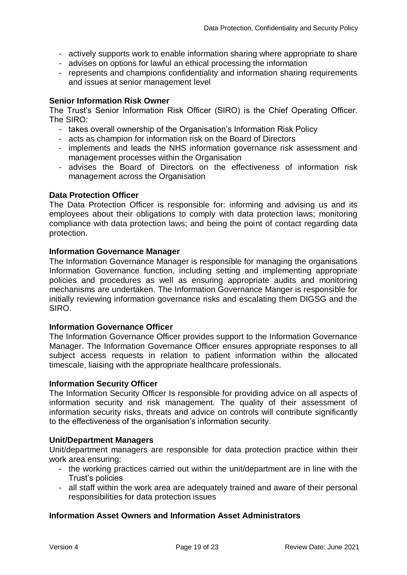- actively supports work to enable information sharing where appropriate to share
- advises on options for lawful an ethical processing the information
- represents and champions confidentiality and information sharing requirements and issues at senior management level

#### **Senior Information Risk Owner**

The Trust's Senior Information Risk Officer (SIRO) is the Chief Operating Officer. The SIRO:

- takes overall ownership of the Organisation's Information Risk Policy
- acts as champion for information risk on the Board of Directors
- implements and leads the NHS information governance risk assessment and management processes within the Organisation
- advises the Board of Directors on the effectiveness of information risk management across the Organisation

#### **Data Protection Officer**

The Data Protection Officer is responsible for: informing and advising us and its employees about their obligations to comply with data protection laws; monitoring compliance with data protection laws; and being the point of contact regarding data protection.

#### **Information Governance Manager**

The Information Governance Manager is responsible for managing the organisations Information Governance function, including setting and implementing appropriate policies and procedures as well as ensuring appropriate audits and monitoring mechanisms are undertaken. The Information Governance Manger is responsible for initially reviewing information governance risks and escalating them DIGSG and the SIRO.

#### **Information Governance Officer**

The Information Governance Officer provides support to the Information Governance Manager. The Information Governance Officer ensures appropriate responses to all subject access requests in relation to patient information within the allocated timescale, liaising with the appropriate healthcare professionals.

#### **Information Security Officer**

The Information Security Officer Is responsible for providing advice on all aspects of information security and risk management. The quality of their assessment of information security risks, threats and advice on controls will contribute significantly to the effectiveness of the organisation's information security.

#### **Unit/Department Managers**

Unit/department managers are responsible for data protection practice within their work area ensuring:

- the working practices carried out within the unit/department are in line with the Trust's policies
- all staff within the work area are adequately trained and aware of their personal responsibilities for data protection issues

## **Information Asset Owners and Information Asset Administrators**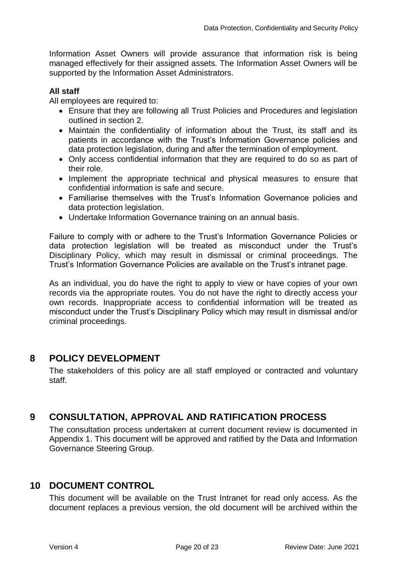Information Asset Owners will provide assurance that information risk is being managed effectively for their assigned assets. The Information Asset Owners will be supported by the Information Asset Administrators.

## **All staff**

All employees are required to:

- Ensure that they are following all Trust Policies and Procedures and legislation outlined in section 2.
- Maintain the confidentiality of information about the Trust, its staff and its patients in accordance with the Trust's Information Governance policies and data protection legislation, during and after the termination of employment.
- Only access confidential information that they are required to do so as part of their role.
- Implement the appropriate technical and physical measures to ensure that confidential information is safe and secure.
- Familiarise themselves with the Trust's Information Governance policies and data protection legislation.
- Undertake Information Governance training on an annual basis.

Failure to comply with or adhere to the Trust's Information Governance Policies or data protection legislation will be treated as misconduct under the Trust's Disciplinary Policy, which may result in dismissal or criminal proceedings. The Trust's Information Governance Policies are available on the Trust's intranet page.

As an individual, you do have the right to apply to view or have copies of your own records via the appropriate routes. You do not have the right to directly access your own records. Inappropriate access to confidential information will be treated as misconduct under the Trust's Disciplinary Policy which may result in dismissal and/or criminal proceedings.

## <span id="page-19-0"></span>**8 POLICY DEVELOPMENT**

The stakeholders of this policy are all staff employed or contracted and voluntary staff.

## <span id="page-19-1"></span>**9 CONSULTATION, APPROVAL AND RATIFICATION PROCESS**

The consultation process undertaken at current document review is documented in Appendix 1. This document will be approved and ratified by the Data and Information Governance Steering Group.

## <span id="page-19-2"></span>**10 DOCUMENT CONTROL**

This document will be available on the Trust Intranet for read only access. As the document replaces a previous version, the old document will be archived within the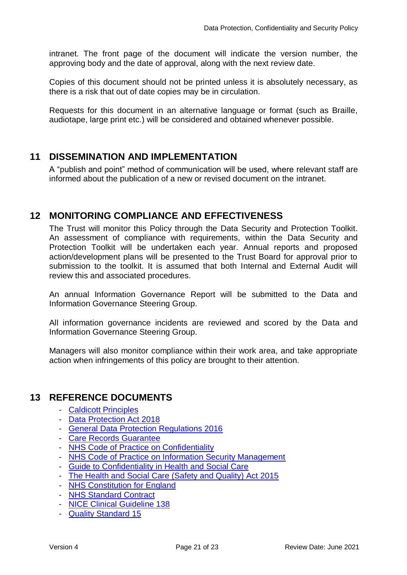intranet. The front page of the document will indicate the version number, the approving body and the date of approval, along with the next review date.

Copies of this document should not be printed unless it is absolutely necessary, as there is a risk that out of date copies may be in circulation.

Requests for this document in an alternative language or format (such as Braille, audiotape, large print etc.) will be considered and obtained whenever possible.

## <span id="page-20-0"></span>**11 DISSEMINATION AND IMPLEMENTATION**

A "publish and point" method of communication will be used, where relevant staff are informed about the publication of a new or revised document on the intranet.

## <span id="page-20-1"></span>**12 MONITORING COMPLIANCE AND EFFECTIVENESS**

The Trust will monitor this Policy through the Data Security and Protection Toolkit. An assessment of compliance with requirements, within the Data Security and Protection Toolkit will be undertaken each year. Annual reports and proposed action/development plans will be presented to the Trust Board for approval prior to submission to the toolkit. It is assumed that both Internal and External Audit will review this and associated procedures.

An annual Information Governance Report will be submitted to the Data and Information Governance Steering Group.

All information governance incidents are reviewed and scored by the Data and Information Governance Steering Group.

Managers will also monitor compliance within their work area, and take appropriate action when infringements of this policy are brought to their attention.

## <span id="page-20-2"></span>**13 REFERENCE DOCUMENTS**

- [Caldicott Principles](https://www.gov.uk/government/uploads/system/uploads/attachment_data/file/251750/9731-2901141-TSO-Caldicott-Government_Response_ACCESSIBLE.PDF)
- [Data Protection Act 2018](http://www.legislation.gov.uk/ukpga/2018/12/contents/enacted/data.htm)
- [General Data Protection Regulations 2016](https://gdpr-info.eu/)
- [Care Records Guarantee](http://systems.hscic.gov.uk/rasmartcards/documents/crg.pdf)
- [NHS Code of Practice on Confidentiality](http://systems.hscic.gov.uk/infogov/codes/confcode.pdf)
- [NHS Code of Practice on Information Security Management](http://systems.hscic.gov.uk/infogov/codes/securitycode.pdf)
- [Guide to Confidentiality in Health and Social Care](http://www.hscic.gov.uk/media/12822/Guide-to-confidentiality-in-health-and-social-care/pdf/HSCIC-guide-to-confidentiality.pdf)
- [The Health and Social Care \(Safety and Quality\) Act 2015](http://www.legislation.gov.uk/ukpga/2015/28/pdfs/ukpga_20150028_en.pdf)
- [NHS Constitution for England](https://www.gov.uk/government/uploads/system/uploads/attachment_data/file/170656/NHS_Constitution.pdf)
- [NHS Standard Contract](http://www.england.nhs.uk/nhs-standard-contract/15-16/)
- [NICE Clinical Guideline 138](http://www.nice.org.uk/guidance/cg138)
- [Quality Standard 15](http://www.nice.org.uk/guidance/qs15)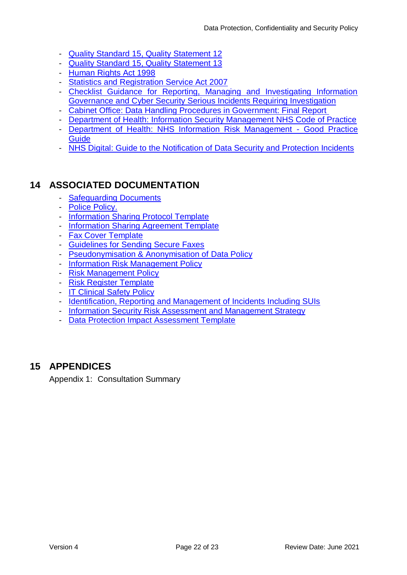- [Quality Standard 15, Quality Statement 12](http://www.nice.org.uk/guidance/qs15/chapter/Quality-statement-12-Coordinated-care-through-the-exchange-of-patient-information)
- [Quality Standard 15, Quality Statement 13](http://www.nice.org.uk/guidance/qs15/chapter/Quality-statement-13-Sharing-information-with-partners-family-members-and-carers)
- [Human Rights Act 1998](http://www.legislation.gov.uk/ukpga/1998/42/contents)
- [Statistics and Registration Service Act 2007](http://www.legislation.gov.uk/ukpga/2007/18/contents)
- Checklist Guidance for Reporting, Managing and Investigating Information [Governance and Cyber Security Serious Incidents Requiring Investigation](https://www.igt.hscic.gov.uk/resources/HSCIC%20SIRI%20Reporting%20and%20Checklist%20Guidance.pdf)
- [Cabinet Office: Data Handling Procedures in Government: Final Report](http://systems.hscic.gov.uk/infogov/links/datahandlingreview.pdf)
- [Department of Health: Information Security Management NHS Code of Practice](http://systems.hscic.gov.uk/infogov/codes/securitycode.pdf)
- [Department of Health: NHS Information Risk Management -](http://systems.hscic.gov.uk/infogov/security/risk/inforiskmgtgpg.pdf) Good Practice **[Guide](http://systems.hscic.gov.uk/infogov/security/risk/inforiskmgtgpg.pdf)**
- [NHS Digital: Guide to the Notification of Data Security and Protection Incidents](https://www.dsptoolkit.nhs.uk/Help/Attachment/101)

## <span id="page-21-0"></span>**14 ASSOCIATED DOCUMENTATION**

- **[Safeguarding Documents](http://nww.hdft.nhs.uk/corporate/safeguarding/)**
- [Police Policy.](http://nww.hdft.nhs.uk/EasysiteWeb/getresource.axd?AssetID=9910&type=full&servicetype=Attachment)
- [Information Sharing Protocol Template](http://nww.hdft.nhs.uk/EasysiteWeb/getresource.axd?AssetID=26378&type=full&servicetype=Attachment)
- [Information Sharing Agreement Template](http://nww.hdft.nhs.uk/EasysiteWeb/getresource.axd?AssetID=26377&type=full&servicetype=Attachment)
- [Fax Cover Template](http://nww.hdft.nhs.uk/EasysiteWeb/getresource.axd?AssetID=40978&type=full&servicetype=Attachment)
- [Guidelines for Sending Secure Faxes](http://nww.hdft.nhs.uk/EasysiteWeb/getresource.axd?AssetID=88450&type=full&servicetype=Attachment)
- [Pseudonymisation & Anonymisation of](http://nww.hdft.nhs.uk/EasysiteWeb/getresource.axd?AssetID=38095&type=full&servicetype=Attachment) Data Policy
- [Information Risk Management Policy](http://nww.hdft.nhs.uk/EasysiteWeb/getresource.axd?AssetID=3549&type=full&servicetype=Attachment)
- [Risk Management Policy](http://nww.hdft.nhs.uk/EasysiteWeb/getresource.axd?AssetID=2567&type=full&servicetype=Attachment)
- [Risk Register Template](http://nww.hdft.nhs.uk/EasysiteWeb/getresource.axd?AssetID=7243&type=full&servicetype=Attachment)
- [IT Clinical Safety Policy](http://nww.hdft.nhs.uk/EasysiteWeb/getresource.axd?AssetID=16958&type=full&servicetype=Attachment)
- [Identification, Reporting and Management of Incidents Including SUIs](http://nww.hdft.nhs.uk/EasysiteWeb/getresource.axd?AssetID=6182&type=full&servicetype=Attachment)
- [Information Security Risk Assessment and Management Strategy](http://nww.hdft.nhs.uk/EasysiteWeb/getresource.axd?AssetID=63333&type=full&servicetype=Attachment)
- [Data Protection Impact Assessment Template](http://nww.hdft.nhs.uk/EasysiteWeb/getresource.axd?AssetID=86759&type=full&servicetype=Attachment)

## <span id="page-21-1"></span>**15 APPENDICES**

Appendix 1: Consultation Summary